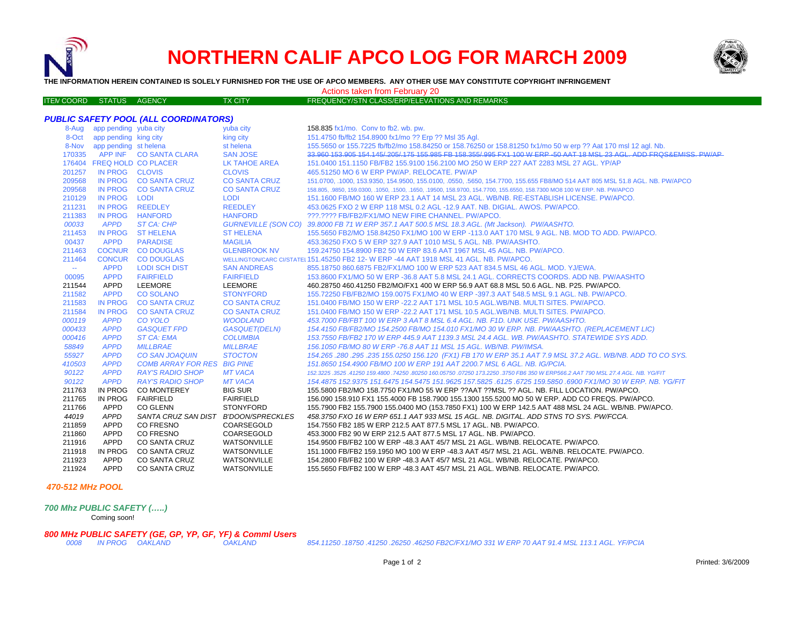

## **NORTHERN CALIF APCO LOG FOR MARCH 2009**



**THE INFORMATION HEREIN CONTAINED IS SOLELY FURNISHED FOR THE USE OF APCO MEMBERS. ANY OTHER USE MAY CONSTITUTE COPYRIGHT INFRINGEMENT**

Actions taken from February 20

| <b>FREQUENCY/STN CLASS/ERP/ELEVATIONS AND REMARKS</b><br><b>ITEN COORD STATUS AGENCY</b><br><b>TX CITY</b> |  |  |  |
|------------------------------------------------------------------------------------------------------------|--|--|--|
|                                                                                                            |  |  |  |

|        |                             | <b>PUBLIC SAFETY POOL (ALL COORDINATORS)</b> |                      |                                                                                                                             |
|--------|-----------------------------|----------------------------------------------|----------------------|-----------------------------------------------------------------------------------------------------------------------------|
|        | 8-Aug app pending yuba city |                                              | yuba city            | 158.835 fx1/mo. Conv to fb2. wb. pw.                                                                                        |
|        | 8-Oct app pending king city |                                              | king city            | 151.4750 fb/fb2 154.8900 fx1/mo ?? Erp ?? Msl 35 Agl.                                                                       |
|        | 8-Nov app pending st helena |                                              | st helena            | 155.5650 or 155.7225 fb/fb2/mo 158.84250 or 158.76250 or 158.81250 fx1/mo 50 w erp ?? Aat 170 msl 12 agl. Nb.               |
|        |                             | 170335 APP INF CO SANTA CLARA                | <b>SAN JOSE</b>      | 33.960 153.905 154.145/205/175 155.985 FB 158.355/995 FX1 100 W ERP -50 AAT 18 MSL 23 AGL. ADD FROS&EMISS, PW/AP            |
|        | 176404 FREQ HOLD CO PLACER  |                                              | LK TAHOE AREA        | 151,0400 151,1150 FB/FB2 155,9100 156,2100 MO 250 W ERP 227 AAT 2283 MSL 27 AGL, YP/AP                                      |
| 201257 | IN PROG CLOVIS              |                                              | <b>CLOVIS</b>        | 465.51250 MO 6 W ERP PW/AP, RELOCATE, PW/AP                                                                                 |
| 209568 |                             | IN PROG CO SANTA CRUZ                        | <b>CO SANTA CRUZ</b> | 151.0700, .1000, 153.9350, 154.9500, 155.0100, .0550, .5650, 154.7700, 155.655 FB8/MO 514 AAT 805 MSL 51.8 AGL. NB. PW/APCO |
| 209568 |                             | IN PROG CO SANTA CRUZ                        | <b>CO SANTA CRUZ</b> | 158.805, 9850, 159.0300, 1050, 1500, 1650, 19500, 158.9700, 154.7700, 155.6550, 158.7300 MO8 100 W ERP. NB. PW/APCO         |
| 210129 | IN PROG LODI                |                                              | <b>LODI</b>          | 151.1600 FB/MO 160 W ERP 23.1 AAT 14 MSL 23 AGL. WB/NB. RE-ESTABLISH LICENSE. PW/APCO.                                      |
| 211231 | <b>IN PROG</b>              | <b>REEDLEY</b>                               | <b>REEDLEY</b>       | 453.0625 FXO 2 W ERP 118 MSL 0.2 AGL -12.9 AAT, NB, DIGIAL, AWOS, PW/APCO,                                                  |
| 211383 | IN PROG HANFORD             |                                              | <b>HANFORD</b>       | ???.???? FB/FB2/FX1/MO NEW FIRE CHANNEL. PW/APCO.                                                                           |
| 00033  | <b>APPD</b>                 | ST CA: CHP                                   |                      | GURNEVILLE (SON CO) 39.8000 FB 71 W ERP 357.1 AAT 500.5 MSL 18.3 AGL. (Mt Jackson). PW/AASHTO.                              |
| 211453 | <b>IN PROG</b>              | <b>ST HELENA</b>                             | <b>ST HELENA</b>     | 155.5650 FB2/MO 158.84250 FX1/MO 100 W ERP -113.0 AAT 170 MSL 9 AGL. NB. MOD TO ADD. PW/APCO.                               |
| 00437  | <b>APPD</b>                 | <b>PARADISE</b>                              | <b>MAGILIA</b>       | 453.36250 FXO 5 W ERP 327.9 AAT 1010 MSL 5 AGL, NB, PW/AASHTO,                                                              |
| 211463 |                             | COCNUR CO DOUGLAS                            | <b>GLENBROOK NV</b>  | 159,24750 154,8900 FB2 50 W ERP 83.6 AAT 1967 MSL 45 AGL, NB, PW/APCO,                                                      |
| 211464 | <b>CONCUR</b>               | <b>CO DOUGLAS</b>                            |                      | WELLINGTON/CARC CI/STATEL 151.45250 FB2 12- W ERP -44 AAT 1918 MSL 41 AGL, NB, PW/APCO,                                     |
| $\sim$ | <b>APPD</b>                 | <b>LODI SCH DIST</b>                         | <b>SAN ANDREAS</b>   | 855.18750 860.6875 FB2/FX1/MO 100 W ERP 523 AAT 834.5 MSL 46 AGL. MOD. YJ/EWA.                                              |
| 00095  | <b>APPD</b>                 | <b>FAIRFIELD</b>                             | <b>FAIRFIELD</b>     | 153.8600 FX1/MO 50 W ERP -36.8 AAT 5.8 MSL 24.1 AGL. CORRECTS COORDS. ADD NB. PW/AASHTO                                     |
| 211544 | APPD                        | LEEMORE                                      | <b>LEEMORE</b>       | 460.28750 460.41250 FB2/MO/FX1 400 W ERP 56.9 AAT 68.8 MSL 50.6 AGL. NB. P25. PW/APCO.                                      |
| 211582 | <b>APPD</b>                 | <b>CO SOLANO</b>                             | <b>STONYFORD</b>     | 155.72250 FB/FB2/MO 159.0075 FX1/MO 40 W ERP -397.3 AAT 548.5 MSL 9.1 AGL. NB. PW/APCO.                                     |
| 211583 | <b>IN PROG</b>              | <b>CO SANTA CRUZ</b>                         | <b>CO SANTA CRUZ</b> | 151.0400 FB/MO 150 W ERP -22.2 AAT 171 MSL 10.5 AGL.WB/NB, MULTI SITES, PW/APCO,                                            |
| 211584 | <b>IN PROG</b>              | <b>CO SANTA CRUZ</b>                         | <b>CO SANTA CRUZ</b> | 151,0400 FB/MO 150 W ERP -22.2 AAT 171 MSL 10.5 AGL.WB/NB, MULTI SITES, PW/APCO,                                            |
| 000119 | <b>APPD</b>                 | CO YOLO                                      | <b>WOODLAND</b>      | 453.7000 FB/FBT 100 W ERP 3 AAT 8 MSL 6.4 AGL. NB. F1D. UNK USE. PW/AASHTO.                                                 |
| 000433 | <b>APPD</b>                 | <b>GASQUET FPD</b>                           | <b>GASQUET(DELN)</b> | 154.4150 FB/FB2/MO 154.2500 FB/MO 154.010 FX1/MO 30 W ERP. NB. PW/AASHTO. (REPLACEMENT LIC)                                 |
| 000416 | <b>APPD</b>                 | <b>ST CA: EMA</b>                            | <b>COLUMBIA</b>      | 153.7550 FB/FB2 170 W ERP 445.9 AAT 1139.3 MSL 24.4 AGL. WB. PW/AASHTO. STATEWIDE SYS ADD.                                  |
| 58849  | <b>APPD</b>                 | <b>MILLBRAE</b>                              | <b>MILLBRAE</b>      | 156.1050 FB/MO 80 W ERP -76.8 AAT 11 MSL 15 AGL. WB/NB. PW/IMSA.                                                            |
| 55927  | <b>APPD</b>                 | <b>CO SAN JOAQUIN</b>                        | <b>STOCTON</b>       | 154.265 .280 .295 .235 155.0250 156.120 (FX1) FB 170 W ERP 35.1 AAT 7.9 MSL 37.2 AGL. WB/NB. ADD TO CO SYS.                 |
| 410503 | <b>APPD</b>                 | <b>COMB ARRAY FOR RES BIG PINE</b>           |                      | 151.8650 154.4900 FB/MO 100 W ERP 191 AAT 2200.7 MSL 6 AGL. NB. IG/PCIA.                                                    |
| 90122  | <b>APPD</b>                 | <b>RAY'S RADIO SHOP</b>                      | <b>MT VACA</b>       | 152,3225,3525,41250 159,4800,74250,80250 160,05750,07250 173,2250,3750 FB6 350 W ERP566,2 AAT 790 MSL 27.4 AGL, NB, YG/FIT  |
| 90122  | <b>APPD</b>                 | <b>RAY'S RADIO SHOP</b>                      | <b>MT VACA</b>       | 154.4875 152.9375 151.6475 154.5475 151.9625 157.5825 .6125 .6725 159.5850 .6900 FX1/MO 30 W ERP. NB. YG/FIT                |
| 211763 | IN PROG                     | <b>CO MONTEREY</b>                           | <b>BIG SUR</b>       | 155,5800 FB2/MO 158,7750 FX1/MO 55 W ERP ??AAT ??MSL ?? AGL. NB. FILL LOCATION. PW/APCO.                                    |
| 211765 | IN PROG                     | <b>FAIRFIELD</b>                             | <b>FAIRFIELD</b>     | 156.090 158.910 FX1 155.4000 FB 158.7900 155.1300 155.5200 MO 50 W ERP. ADD CO FREQS. PW/APCO.                              |
| 211766 | APPD                        | <b>CO GLENN</b>                              | <b>STONYFORD</b>     | 155.7900 FB2 155.7900 155.0400 MO (153.7850 FX1) 100 W ERP 142.5 AAT 488 MSL 24 AGL. WB/NB. PW/APCO.                        |
| 44019  | APPD                        | SANTA CRUZ SAN DIST B'DOON/SPRECKLES         |                      | 458.3750 FXO 16 W ERP 651.1 AAT 933 MSL 15 AGL. NB. DIGITAL. ADD STNS TO SYS. PW/FCCA.                                      |
| 211859 | APPD                        | <b>CO FRESNO</b>                             | COARSEGOLD           | 154.7550 FB2 185 W ERP 212.5 AAT 877.5 MSL 17 AGL. NB. PW/APCO.                                                             |
| 211860 | APPD                        | <b>CO FRESNO</b>                             | COARSEGOLD           | 453.3000 FB2 90 W ERP 212.5 AAT 877.5 MSL 17 AGL. NB. PW/APCO.                                                              |
| 211916 | APPD                        | <b>CO SANTA CRUZ</b>                         | WATSONVILLE          | 154,9500 FB/FB2 100 W ERP -48.3 AAT 45/7 MSL 21 AGL, WB/NB, RELOCATE, PW/APCO,                                              |
| 211918 | IN PROG                     | CO SANTA CRUZ                                | WATSONVILLE          | 151.1000 FB/FB2 159.1950 MO 100 W ERP -48.3 AAT 45/7 MSL 21 AGL. WB/NB. RELOCATE. PW/APCO.                                  |
| 211923 | APPD                        | CO SANTA CRUZ                                | <b>WATSONVILLE</b>   | 154.2800 FB/FB2 100 W ERP -48.3 AAT 45/7 MSL 21 AGL. WB/NB. RELOCATE. PW/APCO.                                              |
| 211924 | <b>APPD</b>                 | <b>CO SANTA CRUZ</b>                         | WATSONVILLE          | 155.5650 FB/FB2 100 W ERP -48.3 AAT 45/7 MSL 21 AGL. WB/NB. RELOCATE. PW/APCO.                                              |

## *470-512 MHz POOL*

Coming soon!

## *800 MHz PUBLIC SAFETY (GE, GP, YP, GF, YF) & Comml Users*

 *IN PROG OAKLAND OAKLAND 854.11250 .18750 .41250 .26250 .46250 FB2C/FX1/MO 331 W ERP 70 AAT 91.4 MSL 113.1 AGL. YF/PCIA*